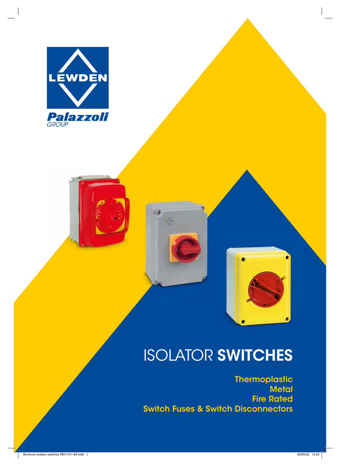



⊖

# ISOLATOR **SWITCHES**

**Thermoplastic Metal Fire Rated Switch Fuses & Switch Disconnectors**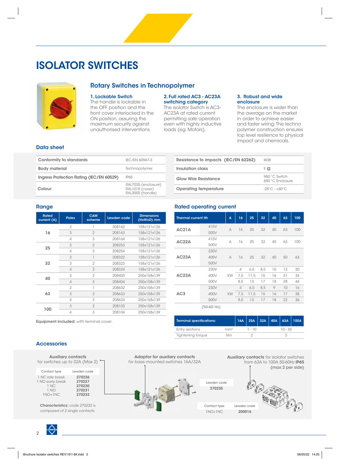### **ISOLATOR SWITCHES**



### **Rotary Switches in Technopolymer**

#### **1. Lockable Switch**

The handle is lockable in the OFF position and the front cover interlocked in the ON position, assuring the maximum security against unauthorised interventions.

#### **2. Full rated AC3 - AC23A switching category**

The isolator Switch is AC3- AC23A at rated current permitting safe operation even with highly inductive loads (eg. Motors).

#### **3. Robust and wide enclosure**

The enclosure is wider than the average on the market in order to achieve easier and faster wiring. The techno polymer construction ensures top level resilience to physical impact and chemicals.

#### **Data sheet**

| Conformity to standards                  | IEC/EN 60947-3                                             |
|------------------------------------------|------------------------------------------------------------|
| <b>Body material</b>                     | Technopolymer                                              |
| Ingress Protection Rating (IEC/EN 60529) | IP65                                                       |
| Colour                                   | RAL7035 (enclosure)<br>RAL1018 (cover)<br>RAL3000 (handle) |
|                                          |                                                            |

| Resistance to impacts (IEC/EN 62262) | IKO8                              |
|--------------------------------------|-----------------------------------|
| Insulation class                     | $\mathbb I$ 0                     |
| <b>Glow Wire Resistance</b>          | 960 °C Switch<br>650 °C Enclosure |
| Operating temperature                | $-25^{\circ}$ C - $+60^{\circ}$ C |
|                                      |                                   |

#### **Range**

| <b>Rated</b><br>current (A) | <b>Poles</b>   | <b>CAM</b><br>scheme | Lewden code | <b>Dimensions</b><br>(HxWxD) mm |
|-----------------------------|----------------|----------------------|-------------|---------------------------------|
|                             | $\overline{2}$ |                      | 208162      | 158x121x126                     |
| 16                          | 3              | $\overline{2}$       | 208163      | 158x121x126                     |
|                             | 4              | 3                    | 208164      | 158x121x126                     |
|                             | 3              | $\overline{2}$       | 208253      | 158x121x126                     |
| 25                          | 4              | 3                    | 208254      | 158x121x126                     |
|                             | $\overline{2}$ |                      | 208322      | 158x121x126                     |
| 32                          | 3              | $\overline{2}$       | 208323      | 158x121x126                     |
|                             | $\overline{4}$ | 3                    | 208324      | 158x121x126                     |
| 40                          | 3              | $\overline{2}$       | 208403      | 250x158x139                     |
|                             | $\Delta$       | 3                    | 208404      | 250x158x139                     |
|                             | $\overline{2}$ |                      | 208632      | 250x158x139                     |
| 63                          | 3              | $\overline{2}$       | 208633      | 250x158x139                     |
|                             | 4              | 3                    | 208634      | 250x158x139                     |
| 100                         | 3              | $\overline{2}$       | 208103      | 250x158x139                     |
|                             | $\overline{4}$ | 3                    | 208104      | 250x158x139                     |

**Equipment included:** with terminal cover.

#### **Rated operating current**

| <b>Thermal current Ith</b> |                           | A         | 16                       | 25   | 32  | 40 | 63 | 100 |
|----------------------------|---------------------------|-----------|--------------------------|------|-----|----|----|-----|
| AC21A                      | 415V                      | A         | 16                       | 25   | 32  | 40 | 63 | 100 |
|                            | 500V                      |           |                          |      |     |    |    |     |
| AC22A                      | 415V                      | A         | 16                       | 25   | 32  | 40 | 63 | 100 |
|                            | 500V                      |           |                          |      |     |    |    |     |
| AC23A                      | 230V                      |           |                          |      |     |    |    |     |
|                            | 400V                      | A         | 16                       | 25   | 32  | 40 | 50 | 63  |
|                            | 500V                      |           |                          |      |     |    |    |     |
|                            | 230V                      |           | $\overline{\mathcal{A}}$ | 6,5  | 8,5 | 10 | 12 | 20  |
| AC23A                      | 400V                      | <b>KW</b> | 7.5                      | 11.5 | 15  | 16 | 21 | 34  |
|                            | 500V                      |           | 8,5                      | 13   | 17  | 18 | 28 | 44  |
|                            | 230V                      |           | $\overline{4}$           | 6.5  | 8.5 | 9  | 10 | 16  |
| AC3                        | 400V                      | <b>KW</b> | 7,5                      | 11,5 | 15  | 16 | 17 | 28  |
|                            | 500V                      |           | 8.5                      | 13   | 17  | 18 | 22 | 36  |
|                            | $2F \cap T \cap T = \cup$ |           |                          |      |     |    |    |     |

**(50-60 Hz)**

Lewden code **270235**

| <b>Terminal specifications:</b> |                 |        |  |  |           | $16A$   25A   32A   40A   63A   100A |  |  |
|---------------------------------|-----------------|--------|--|--|-----------|--------------------------------------|--|--|
| Entry sections                  | mm <sup>2</sup> | 1 - 10 |  |  | $10 - 35$ |                                      |  |  |
| <b>Tightening torque</b>        | Nm              |        |  |  |           |                                      |  |  |

#### **Accessories**

| for switches up to 32A (Max 2)                                   | <b>Auxiliary contacts</b>                      |
|------------------------------------------------------------------|------------------------------------------------|
| Contact type                                                     | Lewden code                                    |
| 1 NC late break<br>1 NO early break<br>1 NC<br>1 NO<br>$1NO+1NC$ | 270226<br>270227<br>270230<br>270231<br>270232 |

**Characteristics:** code 270232 is composed of 2 single contacts.



**Auxiliary contacts** for isolator switches from 63A to 100A 50-60Hz **IP65** (max 2 per side)



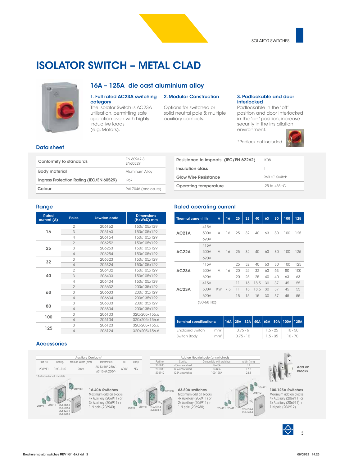### **ISOLATOR SWITCH – METAL CLAD**



### **16A – 125A die cast aluminium alloy**

#### **1. Full rated AC23A switching category**

The isolator Switch is AC23A utilisation, permitting safe operation even with highly inductive loads (e.g. Motors).

#### **2. Modular Construction**

Options for switched or solid neutral pole & multiple auxiliary contacts.

#### **3. Padlockable and door interlocked**

Padlockable in the "off" position and door interlocked in the "on" position, increase security in the installation environment.

\*Padlock not included



#### **Data sheet**

| Conformity to standards                  | FN 60947-3<br><b>FN60529</b> |
|------------------------------------------|------------------------------|
| <b>Body material</b>                     | <b>Aluminum Alloy</b>        |
| Ingress Protection Rating (IEC/EN 60529) | <b>IP67</b>                  |
| Colour                                   | RAL7046 (enclosure)          |
|                                          |                              |

| Resistance to impacts (IEC/EN 62262) | IKO8               |
|--------------------------------------|--------------------|
| Insulation class                     |                    |
| <b>Glow Wire Resistance</b>          | 960 °C Switch      |
| <b>Operating temperature</b>         | $-25$ to $+55$ °C. |

#### **Range**

| <b>Rated</b><br>current (A) | <b>Poles</b>   | Lewden code | <b>Dimensions</b><br>(HxWxD) mm |
|-----------------------------|----------------|-------------|---------------------------------|
|                             | $\overline{2}$ | 206162      | 150x105x129                     |
| 16                          | 3              | 206163      | 150x105x129                     |
|                             | 4              | 206164      | 150x105x129                     |
|                             | $\overline{2}$ | 206252      | 150x105x129                     |
| 25                          | 3              | 206253      | 150x105x129                     |
|                             | $\overline{4}$ | 206254      | 150x105x129                     |
| 32                          | 3              | 206323      | 150x105x129                     |
|                             | 4              | 206324      | 150x105x129                     |
|                             | $\overline{2}$ | 206402      | 150x105x129                     |
| 40                          | 3              | 206403      | 150x105x129                     |
|                             | $\overline{A}$ | 206404      | 150x105x129                     |
|                             | $\overline{2}$ | 206632      | 200x135x129                     |
| 63                          | 3              | 206633      | 200x135x129                     |
|                             | $\overline{4}$ | 206634      | 200x135x129                     |
| 80                          | 3              | 206803      | 200x135x129                     |
|                             | 4              | 206804      | 200x135x129                     |
|                             | 3              | 206103      | 320x205x156.6                   |
| 100                         | 4              | 206104      | 320x205x156.6                   |
|                             | 3              | 206123      | 320x205x156.6                   |
| 125                         | 4              | 206124      | 320x205x156.6                   |

#### **Rated operating current**

|              | <b>Thermal current Ith</b> |    | 16  | 25 | 32 | 40   | 63 | 80 | 100 | 125 |
|--------------|----------------------------|----|-----|----|----|------|----|----|-----|-----|
|              | 415V                       |    |     |    |    |      |    |    |     |     |
| <b>AC21A</b> | 500V                       | А  | 16  | 25 | 32 | 40   | 63 | 80 | 100 | 125 |
|              | 690V                       |    |     |    |    |      |    |    |     |     |
| AC22A        | 415V                       |    | 16  |    |    |      |    |    |     |     |
|              | 500V                       | A  |     | 25 | 32 | 40   | 63 | 80 | 100 | 125 |
|              | 690V                       |    |     |    |    |      |    |    |     |     |
|              | 415V                       |    |     | 25 | 32 | 40   | 63 | 80 | 100 | 125 |
| AC23A        | 500V                       | A  | 16  | 20 | 25 | 32   | 63 | 63 | 80  | 100 |
|              | 690V                       |    |     | 20 | 25 | 25   | 40 | 40 | 63  | 63  |
|              | 415V                       |    |     | 11 | 15 | 18.5 | 30 | 37 | 45  | 55  |
| AC23A        | 500V                       | KW | 7.5 | 11 | 15 | 18.5 | 30 | 37 | 45  | 55  |
|              | 690V                       |    |     | 15 | 15 | 15   | 30 | 37 | 45  | 55  |
| $(50-60$ Hz) |                            |    |     |    |    |      |    |    |     |     |

| <b>Terminal specifications:</b> |                 |             |  |  |            |            | 16A 25A 32A 40A 63A 80A 100A 125A |           |  |
|---------------------------------|-----------------|-------------|--|--|------------|------------|-----------------------------------|-----------|--|
| <b>Enclosed Switch</b>          | mm <sup>2</sup> | $0.75 - 6$  |  |  |            | $1.5 - 25$ |                                   | 10 - 50   |  |
| Switch Body                     | mm <sup>2</sup> | $0.75 - 10$ |  |  | $1.5 - 35$ |            |                                   | $10 - 70$ |  |

#### **Accessories**

|                                                                 | <b>Auxiliary Contacts*</b> |                                                                                                                      |      |                  |                                |                                                                                                                        | Add on Neutrial pole (unswitched) |                                                |                                                                                                                        |        |
|-----------------------------------------------------------------|----------------------------|----------------------------------------------------------------------------------------------------------------------|------|------------------|--------------------------------|------------------------------------------------------------------------------------------------------------------------|-----------------------------------|------------------------------------------------|------------------------------------------------------------------------------------------------------------------------|--------|
| Config.<br>Part No.                                             | Module Width (mm)          | Parameters                                                                                                           | Ui   | Uimp             | Part No.                       | Config.                                                                                                                | Compatible with switches          | width (mm)                                     |                                                                                                                        |        |
|                                                                 |                            | AC-13:10A 230V~                                                                                                      |      |                  | 206940                         | 40A unswitched                                                                                                         | 16-40A                            | 12                                             |                                                                                                                        | Add on |
| $1NO+1NC$<br>206911                                             | 9 <sub>mm</sub>            |                                                                                                                      | 600V | 6KV              | 206980                         | 80A unswitched                                                                                                         | 63-80A                            | 17.5                                           |                                                                                                                        | blocks |
|                                                                 |                            | AC-15:6A 230V~                                                                                                       |      |                  | 206912                         | 125A unswitched                                                                                                        | 100-125A                          | 23.8                                           |                                                                                                                        |        |
| *Suitable for all models                                        |                            |                                                                                                                      |      |                  |                                |                                                                                                                        |                                   |                                                |                                                                                                                        |        |
| 206162-4<br>20691<br>206911<br>206252-4<br>206323-4<br>206402-4 | 206940                     | 16-40A Switches<br>Maximum add on blocks<br>4x Auxiliary (206911) or<br>3x Auxiliary (206911) +<br>1 N pole (206940) |      | 206911<br>206911 | 206980<br>206632-4<br>206803-4 | 63-80A switches<br>Maximum add on blocks<br>4x Auxiliary (206911) or<br>$2x$ Auxiliary (206911) +<br>1 N pole (206980) | 206911 20691                      | 206911<br>206912<br>١G<br>206103-4<br>206123-4 | 100-125A Switches<br>Maximum add on blocks<br>4x Auxiliary (206911) or<br>3x Auxiliary (206911) +<br>1 N pole (206912) |        |

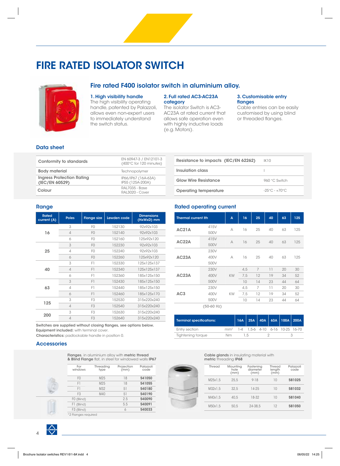### **FIRE RATED ISOLATOR SWITCH**



#### **Fire rated F400 isolator switch in aluminium alloy.**

#### **1. High visibility handle**

The high visibility operating handle, patented by Palazzoli, allows even non-expert users to immediately understand the switch status.

#### **2. Full rated AC3-AC23A category**

The isolator Switch is AC3- AC23A at rated current that allows safe operation even with highly inductive loads (e.g. Motors).

#### **3. Customisable entry fl anges**

Cable entries can be easily customised by using blind or threaded flanges.

#### **Data sheet**

| Conformity to standards                            | EN 60947-3 / EN12101-3<br>(400°C for 120 minutes) |
|----------------------------------------------------|---------------------------------------------------|
| <b>Body material</b>                               | Technopolymer                                     |
| <b>Ingress Protection Rating</b><br>(IEC/EN 60529) | IP66/IP67 (16A-63A)<br>IP55 (125A-200A)           |
| Colour                                             | RAL7035 - Base<br>RAL3020 - Cover                 |
|                                                    |                                                   |

| Resistance to impacts (IEC/EN 62262) | IK 10                             |
|--------------------------------------|-----------------------------------|
| Insulation class                     |                                   |
| <b>Glow Wire Resistance</b>          | 960 °C Switch                     |
| Operating temperature                | $-25^{\circ}$ C - $+70^{\circ}$ C |

#### **Range**

| <b>Rated</b><br>current (A) | <b>Poles</b>   | <b>Flange size</b> | Lewden code | <b>Dimensions</b><br>(HxWxD) mm |
|-----------------------------|----------------|--------------------|-------------|---------------------------------|
|                             | 3              | F <sub>0</sub>     | 152130      | 92x92x103                       |
| 16                          | $\Delta$       | F <sub>0</sub>     | 152140      | 92x92x103                       |
|                             | 6              | F <sub>0</sub>     | 152160      | 125x92x120                      |
|                             | 3              | F <sub>0</sub>     | 152230      | 92x92x103                       |
| 25                          | 4              | FO                 | 152240      | 92x92x103                       |
|                             | 6              | F <sub>0</sub>     | 152260      | 125x92x120                      |
|                             | 3              | F1                 | 152330      | 125x125x137                     |
| 40                          | 4              | F1                 | 152340      | 125x125x137                     |
|                             | 6              | F1                 | 152360      | 185x125x150                     |
|                             | 3              | F1                 | 152430      | 185x125x150                     |
| 63                          | $\overline{4}$ | F1                 | 152440      | 185x125x150                     |
|                             | 6              | F1                 | 152460      | 185x125x170                     |
| 125                         | 3              | F <sub>3</sub>     | 152530      | 315x220x240                     |
|                             | $\overline{4}$ | F <sub>3</sub>     | 152540      | 315x220x240                     |
| 200                         | 3              | F <sub>3</sub>     | 152630      | 315x220x240                     |
|                             | $\Delta$       | F <sub>3</sub>     | 152640      | 315x220x240                     |

Switches are supplied without closing flanges, see options below. **Equipment included:** with terminal cover. **Characteristics:** padlockable handle in position 0.

#### **Accessories**

**Flanges**, in aluminium alloy with **metric thread & Blind Flange** flat, in steel for windowed walls **IP67** 

| For<br>windows         | Threading<br>type | Projection<br>(mm) | Palazzoli<br>code |
|------------------------|-------------------|--------------------|-------------------|
| F <sub>0</sub>         | M25               | 18                 | 541050            |
| F1                     | M25               | 18                 | 541055            |
| F1                     | M32               | 51                 | 540180            |
| F <sub>3</sub>         | M40               | 51                 | 540190            |
| F0 (Blind)             |                   | 2.5                | 540090            |
| (Blind)<br>FL.         |                   | 5.5                | 540091            |
| F <sub>3</sub> (Blind) |                   | 6                  | 540033            |
| *2 Flanges required    |                   |                    |                   |

|  | <b>Rated operating current</b> |  |
|--|--------------------------------|--|
|--|--------------------------------|--|

| <b>Thermal current Ith</b> |                      | A         | 16               | 25            | 40             | 63             | 125            |
|----------------------------|----------------------|-----------|------------------|---------------|----------------|----------------|----------------|
| <b>AC21A</b>               | 415V<br>500V         | A         | 16               | 25            | 40             | 63             | 125            |
| AC <sub>22</sub> A         | 415V<br>500V         | A         | 16               | 25            | 40             | 63             | 125            |
| AC23A                      | 230V<br>400V<br>500V | A         | 16               | 25            | 40             | 63             | 125            |
| AC23A                      | 230V<br>400V<br>500V | <b>KW</b> | 4,5<br>7,5<br>10 | 7<br>12<br>14 | 11<br>19<br>23 | 20<br>34<br>44 | 30<br>52<br>64 |
| AC3                        | 230V<br>400V<br>500V | <b>KW</b> | 4,5<br>7,5<br>10 | 7<br>12<br>14 | 11<br>19<br>23 | 20<br>34<br>44 | 30<br>52<br>64 |
|                            | (50.60 H)            |           |                  |               |                |                |                |

**(50-60 Hz)**

| <b>Terminal specifications:</b> |    |    |  | 16A   25A   40A   63A   100A   200A <sup> </sup> |  |
|---------------------------------|----|----|--|--------------------------------------------------|--|
| Entry section                   |    |    |  | mm <sup>2</sup> 1-4 1,5-6 4-10 6-16 10-25 16-70  |  |
| Tightening torque               | Nm | 15 |  |                                                  |  |

#### **Cable glands** in insulating material with **metric** threading **IP68**

| Thread  | Mounting<br>hole<br>(mm) | Fastening<br>diameter<br>(mm) | Thread<br>length<br>(mm) | Palazzoli<br>code |
|---------|--------------------------|-------------------------------|--------------------------|-------------------|
| M25x1.5 | 25.5                     | $9 - 18$                      | 10                       | 581025            |
| M32x1.5 | 32.5                     | $14 - 25$                     | 10                       | 581032            |
| M40x1.5 | 40.5                     | 18-32                         | 10                       | 581040            |
| M50x1.5 | 50.5                     | 24-38.5                       | 12                       | 581050            |



4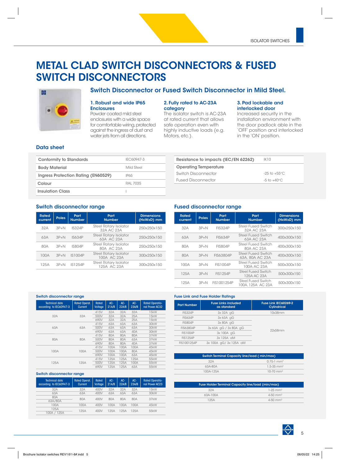### **METAL CLAD SWITCH DISCONNECTORS & FUSED SWITCH DISCONNECTORS**



### **1. Robust and wide IP65**

**Enclosures** Powder coated mild steel enclosures with a wide space for comfortable wiring, protected against the ingress of dust and water jets from all directions.

#### **2. Fully rated to AC-23A category**

**Switch Disconnector or Fused Switch Disconnector in Mild Steel.**

The isolator switch is AC-23A at rated current that allows safe operation even with highly inductive loads (e.g. Motors, etc.).

**Operating Temperature**

#### **3. Pad lockable and interlocked door**

Increased security in the installation environment with the door padlock able in the 'OFF' position and interlocked in the 'ON' position.

#### **Data sheet**

| <b>Conformity to Standards</b>      | IFC60947-3 |
|-------------------------------------|------------|
| <b>Body Material</b>                | Mild Steel |
| Ingress Protection Rating (EN60529) | IP65       |
| Colour                              | RAL 7035   |
| <b>Insulation Class</b>             |            |
|                                     |            |

## Fused Disconnector  $-5$  to +40°C

Switch Disconnector -25 to +55°C

**Resistance to impacts (IEC/EN 62262)** IK10

#### **Switch disconnector range**

| <b>Rated</b><br>current | <b>Poles</b> | Part<br><b>Number</b> | Part<br><b>Number</b>                       | <b>Dimensions</b><br>(HxWxD) mm |
|-------------------------|--------------|-----------------------|---------------------------------------------|---------------------------------|
| 32A                     | $3P+N$       | IS324P                | <b>Steel Rotary Isolator</b><br>32A AC 23A  | 250x250x150                     |
| 63A                     | $3P+N$       | <b>IS634P</b>         | <b>Steel Rotary Isolator</b><br>63A AC 23A  | 250x250x150                     |
| 80A                     | $3P+N$       | <b>IS804P</b>         | <b>Steel Rotary Isolator</b><br>80A AC 23A  | 250x250x150                     |
| 100A                    | $3P+N$       | IS1004P               | <b>Steel Rotary Isolator</b><br>100A AC 23A | 300x250x150                     |
| 125A                    | $3P+N$       | IS1254P               | <b>Steel Rotary Isolator</b><br>125A AC 23A | 300x250x150                     |

#### **Fused disconnector range**

| <b>Rated</b><br>current | <b>Poles</b> | Part<br><b>Number</b> | Part<br><b>Number</b>                          | <b>Dimensions</b><br>(HxWxD) mm |
|-------------------------|--------------|-----------------------|------------------------------------------------|---------------------------------|
| 32A                     | $3P+N$       | <b>FIS324P</b>        | Steel Fused Switch<br>32A AC 23A               | 300x250x150                     |
| 63A                     | $3P + N$     | <b>FIS634P</b>        | Steel Fused Switch<br>63A AC 23A               | 400x300x150                     |
| 80A                     | $3P+N$       | <b>FIS804P</b>        | Steel Fused Switch<br>80A AC 23A               | 400x300x150                     |
| 80A                     | $3P+N$       | <b>FIS63804P</b>      | Steel Fused Switch<br>63A, 80A AC 23A          | 400x300x150                     |
| 100A                    | $3P+N$       | FIS1004P              | Steel Fused Switch<br>100A AC 23A              | 500x300x150                     |
| 125A                    | $3P+N$       | <b>FIS1254P</b>       | <b>Steel Fused Switch</b><br>125A AC 23A       | 500x300x150                     |
| 125A                    | $3P+N$       | FIS1001254P           | <b>Steel Fused Switch</b><br>100A, 125A AC 23A | 500x300x150                     |

| <b>Switch disconnector range</b>                 |                                        |                                |              |              |                             |                                          |  |  |
|--------------------------------------------------|----------------------------------------|--------------------------------|--------------|--------------|-----------------------------|------------------------------------------|--|--|
| <b>Technical data</b><br>according to IEC60947-3 | <b>Rated Operat.</b><br><b>Current</b> | <b>Rated</b><br><b>Voltage</b> | AC-<br>21A/B | AC-<br>22A/B | $AC-$<br>$23\overline{A/B}$ | <b>Rated Operatio-</b><br>nal Power AC32 |  |  |
|                                                  |                                        | 415V                           | 32A          | 32A          | 32A                         | 15kW                                     |  |  |
| 32A                                              | 32A                                    | 500V                           | 32A          | 32A          | 25A                         | 15kW                                     |  |  |
|                                                  |                                        | 690V                           | 32A          | 32A          | 25A                         | 15kW                                     |  |  |
|                                                  | 63A                                    | 415V                           | 63A          | 63A          | 63A                         | 30kW                                     |  |  |
| 63A                                              |                                        | 500V                           | 63A          | 63A          | 63A                         | 30kW                                     |  |  |
|                                                  |                                        | 690V                           | 63A          | 63A          | 40A                         | 30kW                                     |  |  |
|                                                  | 80A                                    | 415V                           | 80A          | 80A          | 80A                         | 37kW                                     |  |  |
| 80A                                              |                                        | 500V                           | 80A          | 80A          | 63A                         | 37kW                                     |  |  |
|                                                  |                                        | 690V                           | 80A          | 80A          | 40A                         | 37kW                                     |  |  |
|                                                  |                                        | 415V                           | 100A         | 100A         | 100A                        | 45kW                                     |  |  |
| 100A                                             | 100A                                   | 500V                           | 100A         | 100A         | 80A                         | 45kW                                     |  |  |
|                                                  |                                        | 690V                           | 100A         | 100A         | 63A                         | 45kW                                     |  |  |
|                                                  |                                        | 415V                           | 125A         | 125A         | 125A                        | 55kW                                     |  |  |
| 125A                                             | 125A                                   | 500V                           | 125A         | 125A         | 100A                        | 55kW                                     |  |  |
|                                                  |                                        | 690V                           | 125A         | 125A         | 63A                         | 55kW                                     |  |  |

#### **Switch disconnector range**

| <b>Technical data</b><br>according to IEC60947-3 | <b>Rated Operat.</b><br>Current | <b>Rated</b><br>Voltage | $AC -$<br>21A/B | $AC -$<br>22A/B | AC-<br>23A/B | <b>Rated Operatio-</b><br>nal Power AC23 |
|--------------------------------------------------|---------------------------------|-------------------------|-----------------|-----------------|--------------|------------------------------------------|
| 32A                                              | 32A                             | 400V                    | 32A             | 32A             | 32A          | 15kW                                     |
| 63A                                              | 63A                             | 400V                    | 63A             | 63A             | 63A          | 30kW                                     |
| 80A                                              | 80A                             | 400V                    | 80A             | 80A             | 80A          | 37kW                                     |
| 63A/80A                                          |                                 |                         |                 |                 |              |                                          |
| 100A                                             | 100A                            | 400V                    | 100A            | 100A            | 100A         | 45kW                                     |
| 125A                                             | 125A                            | 400V                    | 125A            | 125A            | 125A         | 55kW                                     |
| 100A / 125A                                      |                                 |                         |                 |                 |              |                                          |

| <b>Part Number</b> | <b>Fuse Links included</b><br>as standard | Fuse Link IEC60269-2<br>Cylindrical |
|--------------------|-------------------------------------------|-------------------------------------|
| <b>FIS324P</b>     | 3x 32A gG                                 | 10x38mm                             |
| <b>FIS634P</b>     | 3x 63A gG                                 |                                     |
| <b>FIS804P</b>     | 3x 80A qG                                 |                                     |
| FIS63804P          | 3x 63A qG / 3x 80A qG                     | 22x58mm                             |
| FIS1004P           | 3x 100A gG                                |                                     |
| <b>FIS1254P</b>    | $3x$ 125A $\alpha$ M                      |                                     |
| FIS1001254P        | 3x 100A qG/3x 125A aM                     |                                     |

| <b>Switch Terminal Capacity line/load (min/max)</b> |                            |  |  |  |  |  |
|-----------------------------------------------------|----------------------------|--|--|--|--|--|
| 32A                                                 | $0.75 - 1$ mm <sup>2</sup> |  |  |  |  |  |
| 63A-80A                                             | $1.5 - 35$ mm <sup>2</sup> |  |  |  |  |  |
| 100A-125A                                           | $10-70$ mm <sup>2</sup>    |  |  |  |  |  |

| <b>Fuse Holder Terminal Capacity line/load (min/max)</b> |                        |  |  |  |  |  |
|----------------------------------------------------------|------------------------|--|--|--|--|--|
| 32A                                                      | $1-25$ mm <sup>2</sup> |  |  |  |  |  |
| 63A-100A                                                 | $4-50$ mm <sup>2</sup> |  |  |  |  |  |
| 125A                                                     | $4-50$ mm <sup>2</sup> |  |  |  |  |  |

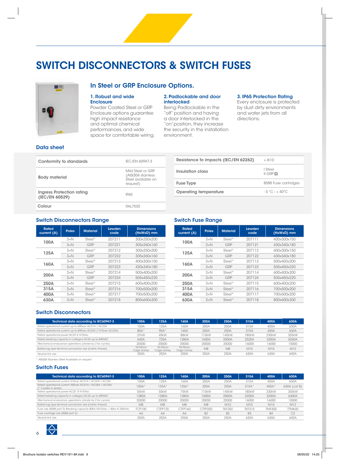### **SWITCH DISCONNECTORS & SWITCH FUSES**



#### **In Steel or GRP Enclosure Options.**

#### **1. Robust and wide Enclosure**

Powder Coated Steel or GRP Enclosure options guarantee high impact resistance and optimal chemical performances, and wide space for comfortable wiring.

#### **2. Padlockable and door interlocked**

Being Padlockable in the "off" position and having a door interlocked in the "on"position, they increase the security in the installation environment.

#### **3. IP65 Protection Rating**

Every enclosure is protected by dust dirty environments and water jets from all directions.

#### **Data sheet**

| Conformity to standards                     | IEC/EN 60947-3                                                            |
|---------------------------------------------|---------------------------------------------------------------------------|
| <b>Body material</b>                        | Mild Steel or GRP<br>(AISI304 stainless<br>Steel available on<br>request) |
| Ingress Protection rating<br>(IEC/EN 60529) | <b>IP65</b>                                                               |
| Colour                                      | RAI 7035                                                                  |

| Resistance to impacts (IEC/EN 62262) | $>$ IK10                    |
|--------------------------------------|-----------------------------|
| Insulation class                     | I Steel<br>$II$ GRP $\Box$  |
| <b>Fuse Type</b>                     | <b>BS88 Fuse cartridges</b> |
| Operating temperature                | $-5$ °C $-+40$ °C           |
|                                      |                             |

#### **Switch Disconnectors Range**

| <b>Rated</b><br>current (A) | <b>Poles</b> | <b>Material</b> | Lewden<br>code | <b>Dimensions</b><br>(HxWxD) mm |
|-----------------------------|--------------|-----------------|----------------|---------------------------------|
| 100A                        | $3+N$        | $Stel*$         | 207211         | 300x250x200                     |
|                             | $3+N$        | GRP             | 207221         | 305x260x160                     |
| 125A                        | $3+N$        | Steel*          | 207212         | 300x250x200                     |
|                             | $3+N$        | GRP             | 207222         | 305x260x160                     |
| 160A                        | $3+N$        | Steel*          | 207213         | 400x300x150                     |
|                             | $3+N$        | GRP             | 207223         | 430x340x180                     |
| 200A                        | $3+N$        | $Stel*$         | 207214         | 500x400x200                     |
|                             | $3+N$        | GRP             | 207224         | 505x450x220                     |
| 250A                        | $3+N$        | Steel*          | 207215         | 600x400x200                     |
| 315A                        | $3+N$        | Steel*          | 207216         | 700x500x200                     |
| 400A                        | $3+N$        | Steel*          | 207217         | 700x500x200                     |
| 630A                        | $3+N$        | Steel*          | 207218         | 800x600x300                     |

#### **Switch Fuse Range**

| <b>Rated</b><br>current (A) | <b>Poles</b> | <b>Material</b> | Lewden<br>code | <b>Dimensions</b><br>(HxWxD) mm |
|-----------------------------|--------------|-----------------|----------------|---------------------------------|
| 100A                        | $3+N$        | $Stel*$         | 207111         | 400x300x150                     |
|                             | $3+N$        | GRP             | 207121         | 430x340x180                     |
| 125A                        | $3+N$        | Steel*          | 207112         | 400x300x150                     |
|                             | $3+N$        | GRP             | 207122         | 430x340x180                     |
| 160A                        | $3+N$        | Steel*          | 207113         | 500x400x200                     |
|                             | $3+N$        | GRP             | 207123         | 505x450x220                     |
| 200A                        | $3+N$        | Steel*          | 207114         | 600x400x200                     |
|                             | $3+N$        | GRP             | 207124         | 505x450x220                     |
| 250A                        | $3+N$        | Steel*          | 207115         | 600x400x200                     |
| 315A                        | $3+N$        | Steel*          | 207116         | 700x500x200                     |
| 400A                        | $3+N$        | Steel*          | 207117         | 700x500x200                     |
| 630A                        | $3+N$        | Steel*          | 207118         | 800x600x300                     |

#### **Switch Disconnectors**

| Technical data according to IEC60947-3                       | 100A                  | 125A                    | <b>160A</b>           | 200A              | 250A           | 315A       | 400A  | 630A  |
|--------------------------------------------------------------|-----------------------|-------------------------|-----------------------|-------------------|----------------|------------|-------|-------|
| Rated operational current up to 690vac AC21A / AC22A         | 100A                  | 25A                     | 160A                  | 200A              | 250A           | 315A       | 400A  | 630A  |
| Rated operational current up to 690vac AC23A (*415vac AC23A) | 80A*                  | 90A*                    | 160A                  | 200A              | 250A           | 315A       | 400A  | 630A  |
| Rated operational power AC23 @ 415Vac                        | 37kW                  | 45kW                    | 88kW                  | 10 <sub>k</sub> W | 145kW          | 180kW      | 230kW | 355kW |
| Rated breaking capacity in category AC23 up to 690VAC        | 640A                  | 720A                    | 1280A                 | 1600A             | 2000A          | 2520A      | 3200A | 5040A |
| Mechanical endurance operations (divide by 2 for cycles)     | 20000                 | 20000                   | 20000                 | 20000             | 20000          | 16000      | 16000 | 10000 |
| Bolted lug type terminal connection size (metric thread)     | 10-70mm<br>Cage clamp | $10-70mm$<br>Cage clamp | 10-70mm<br>Cage clamp | M <sub>8</sub>    | M <sub>8</sub> | <b>M10</b> | M10   | M12   |
| Neutral link size                                            | 250A                  | 250A                    | 250A                  | 250A              | 250A           | 630A       | 630A  | 630A  |

\* AISI304 Stainless Steel Available on request

#### **Switch Fuses**

| Technical data according to IEC60947-3                                          | 100A           | 125A           | 160A           | 200A      | 250A           | 315A           | 400A          | 630A           |
|---------------------------------------------------------------------------------|----------------|----------------|----------------|-----------|----------------|----------------|---------------|----------------|
| Rated operational current 415vac AC21A / AC22A / AC23A                          | 100A           | 125A           | 160A           | 200A      | 250A           | 315A           | 400A          | 630A           |
| Rated operational current 220vdc DC21A / DC22A / DC23A<br>(* 2 poles in series) | $100A*$        | $25A*$         | $125A*$        | 200A      | 250A           | $315A*$        | 400A*         | 630A (cat B)   |
| Rated operational power AC23 @ 415Vac                                           | 55kW           | 55kW           | 75kW           | 10kW      | 145kW          | 180kW          | 230kW         | 355kW          |
| Rated breaking capacity in category AC23 up to 690VAC                           | 1280A          | 1280A          | 1280A          | 1600A     | 2000A          | 3200A          | 3200A         | 6400A          |
| Mechanical endurance operations (divide by 2 for cycles)                        | 20000          | 20000          | 20000          | 20000     | 20000          | 16000          | 16000         | 10000          |
| Bolted lug type terminal connection size (metric thread)                        | M <sub>8</sub> | M <sub>8</sub> | M <sub>8</sub> | M8        | M10            | <b>M10</b>     | <b>M10</b>    | M12            |
| Fuse size (BS88 part 2) Breaking capacity 80KA @415Vac / 40ka @ 240Vdc          | <b>TCP100</b>  | CTFP125        | CTFP160        | CTFP200   | <b>TKF250</b>  | <b>TKF315</b>  | <b>TMF400</b> | <b>TTM630</b>  |
| Fuse cartridge size (BS88 part 2)                                               | A4             | A4             | AA             | <b>B2</b> | B <sub>3</sub> | B <sub>3</sub> | <b>B4</b>     | C <sub>2</sub> |
| Neutral link size                                                               | 250A           | 250A           | 250A           | 250A      | 250A           | 630A           | 630A          | 630A           |

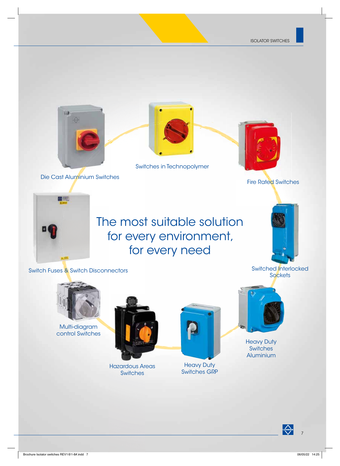

Die Cast Aluminium Switches Cast Aluminium Switch



Switches in Technopolymer



Fire Rated Switches



## The most suitable solution for every environment, for every need

Switched Interlocked

Switch Fuses & Switch Disconnectors



Multi-diagram control Switches



Hazardous Areas **Switches** 



Heavy Duty Switches GRP



Heavy Duty **Switches** Aluminium